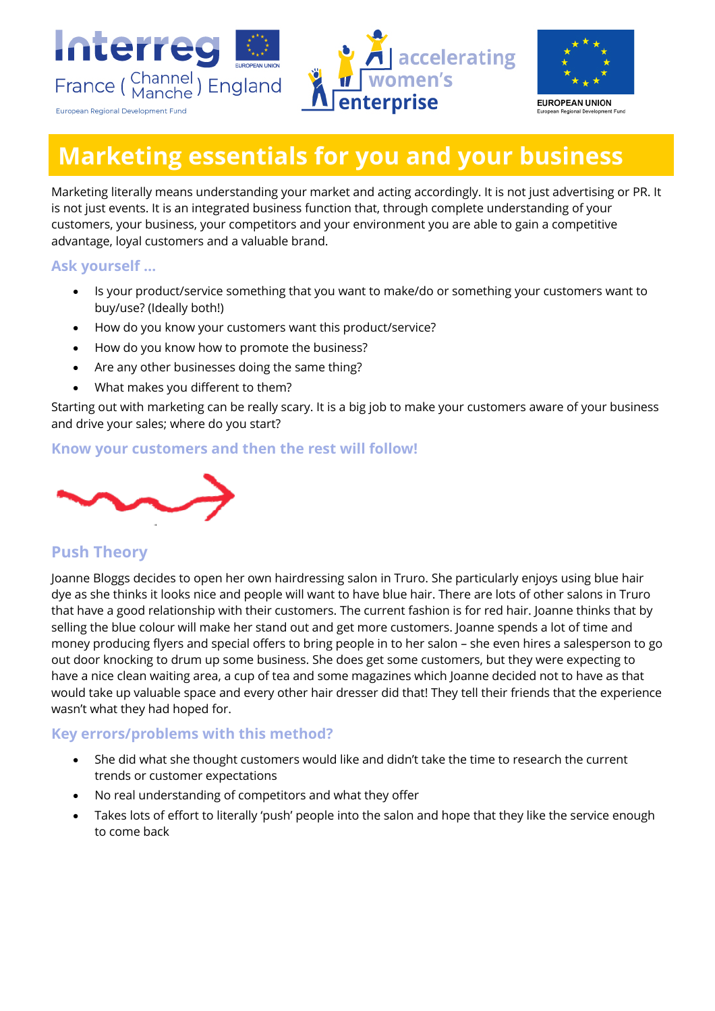



# **Marketing essentials for you and your business**

Marketing literally means understanding your market and acting accordingly. It is not just advertising or PR. It is not just events. It is an integrated business function that, through complete understanding of your customers, your business, your competitors and your environment you are able to gain a competitive advantage, loyal customers and a valuable brand.

#### **Ask yourself …**

- Is your product/service something that you want to make/do or something your customers want to buy/use? (Ideally both!)
- How do you know your customers want this product/service?
- How do you know how to promote the business?
- Are any other businesses doing the same thing?
- What makes you different to them?

Starting out with marketing can be really scary. It is a big job to make your customers aware of your business and drive your sales; where do you start?

#### **Know your customers and then the rest will follow!**



# **Push Theory**

Joanne Bloggs decides to open her own hairdressing salon in Truro. She particularly enjoys using blue hair dye as she thinks it looks nice and people will want to have blue hair. There are lots of other salons in Truro that have a good relationship with their customers. The current fashion is for red hair. Joanne thinks that by selling the blue colour will make her stand out and get more customers. Joanne spends a lot of time and money producing flyers and special offers to bring people in to her salon – she even hires a salesperson to go out door knocking to drum up some business. She does get some customers, but they were expecting to have a nice clean waiting area, a cup of tea and some magazines which Joanne decided not to have as that would take up valuable space and every other hair dresser did that! They tell their friends that the experience wasn't what they had hoped for.

#### **Key errors/problems with this method?**

- She did what she thought customers would like and didn't take the time to research the current trends or customer expectations
- No real understanding of competitors and what they offer
- Takes lots of effort to literally 'push' people into the salon and hope that they like the service enough to come back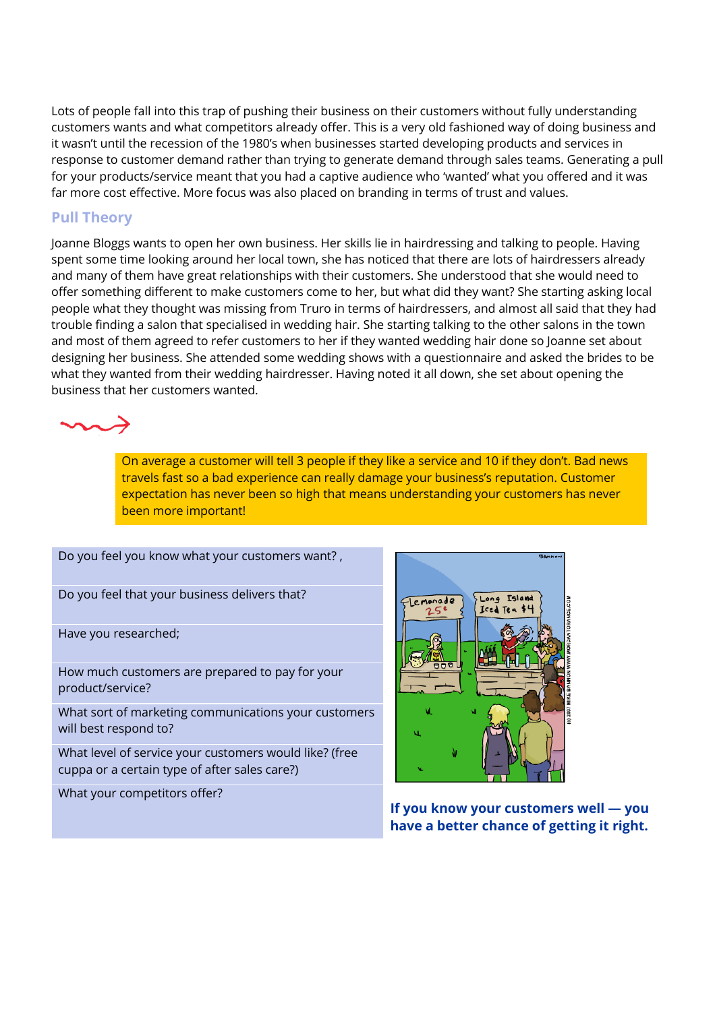Lots of people fall into this trap of pushing their business on their customers without fully understanding customers wants and what competitors already offer. This is a very old fashioned way of doing business and it wasn't until the recession of the 1980's when businesses started developing products and services in response to customer demand rather than trying to generate demand through sales teams. Generating a pull for your products/service meant that you had a captive audience who 'wanted' what you offered and it was far more cost effective. More focus was also placed on branding in terms of trust and values.

#### **Pull Theory**

Joanne Bloggs wants to open her own business. Her skills lie in hairdressing and talking to people. Having spent some time looking around her local town, she has noticed that there are lots of hairdressers already and many of them have great relationships with their customers. She understood that she would need to offer something different to make customers come to her, but what did they want? She starting asking local people what they thought was missing from Truro in terms of hairdressers, and almost all said that they had trouble finding a salon that specialised in wedding hair. She starting talking to the other salons in the town and most of them agreed to refer customers to her if they wanted wedding hair done so Joanne set about designing her business. She attended some wedding shows with a questionnaire and asked the brides to be what they wanted from their wedding hairdresser. Having noted it all down, she set about opening the business that her customers wanted.



On average a customer will tell 3 people if they like a service and 10 if they don't. Bad news travels fast so a bad experience can really damage your business's reputation. Customer expectation has never been so high that means understanding your customers has never been more important!

Do you feel you know what your customers want? ,

Do you feel that your business delivers that?

Have you researched;

How much customers are prepared to pay for your product/service?

What sort of marketing communications your customers will best respond to?

What level of service your customers would like? (free cuppa or a certain type of after sales care?)

What your competitors offer?



**If you know your customers well — you have a better chance of getting it right.**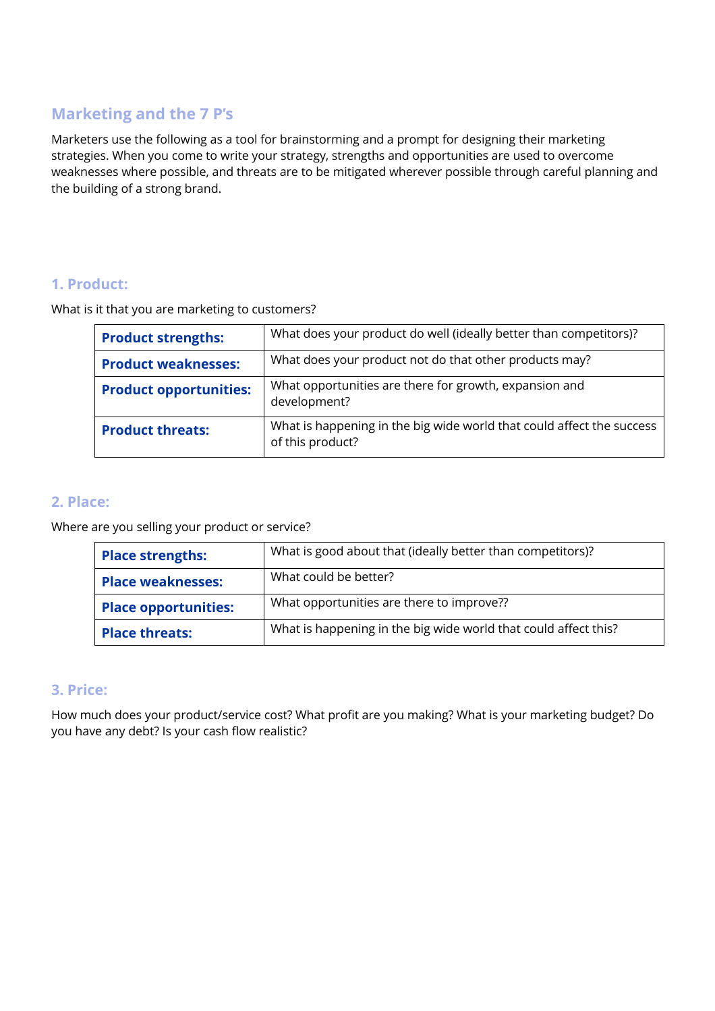# **Marketing and the 7 P's**

Marketers use the following as a tool for brainstorming and a prompt for designing their marketing strategies. When you come to write your strategy, strengths and opportunities are used to overcome weaknesses where possible, and threats are to be mitigated wherever possible through careful planning and the building of a strong brand.

#### **1. Product:**

What is it that you are marketing to customers?

| <b>Product strengths:</b>     | What does your product do well (ideally better than competitors)?                         |
|-------------------------------|-------------------------------------------------------------------------------------------|
| <b>Product weaknesses:</b>    | What does your product not do that other products may?                                    |
| <b>Product opportunities:</b> | What opportunities are there for growth, expansion and<br>development?                    |
| <b>Product threats:</b>       | What is happening in the big wide world that could affect the success<br>of this product? |

#### **2. Place:**

Where are you selling your product or service?

| <b>Place strengths:</b>     | What is good about that (ideally better than competitors)?      |
|-----------------------------|-----------------------------------------------------------------|
| <b>Place weaknesses:</b>    | What could be better?                                           |
| <b>Place opportunities:</b> | What opportunities are there to improve??                       |
| <b>Place threats:</b>       | What is happening in the big wide world that could affect this? |

#### **3. Price:**

How much does your product/service cost? What profit are you making? What is your marketing budget? Do you have any debt? Is your cash flow realistic?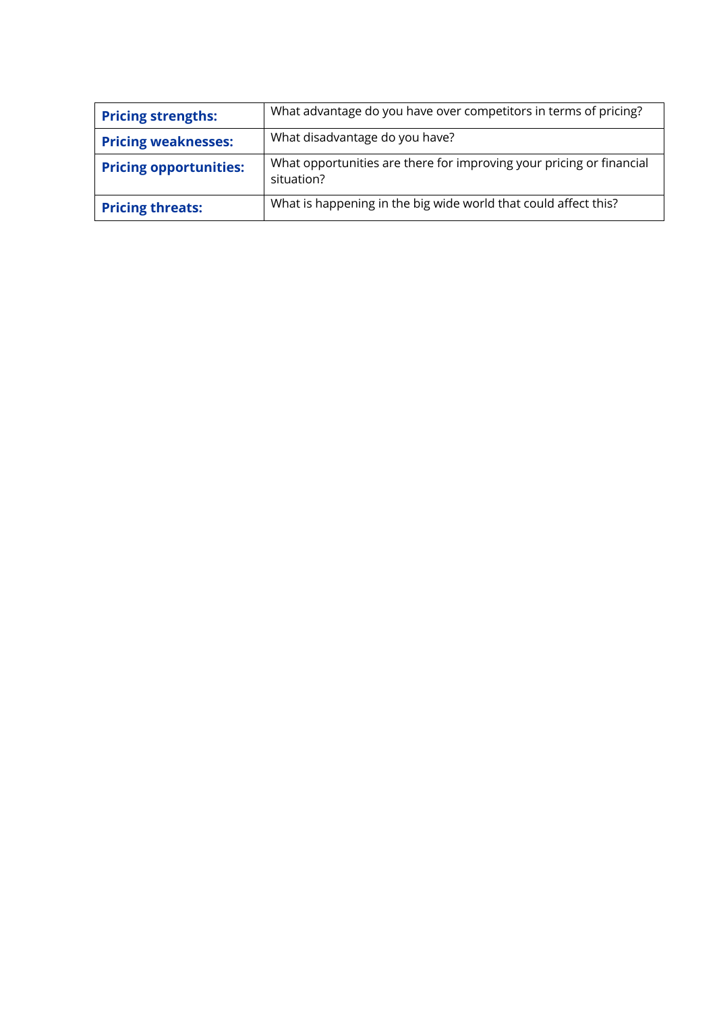| <b>Pricing strengths:</b>     | What advantage do you have over competitors in terms of pricing?                   |
|-------------------------------|------------------------------------------------------------------------------------|
| <b>Pricing weaknesses:</b>    | What disadvantage do you have?                                                     |
| <b>Pricing opportunities:</b> | What opportunities are there for improving your pricing or financial<br>situation? |
| <b>Pricing threats:</b>       | What is happening in the big wide world that could affect this?                    |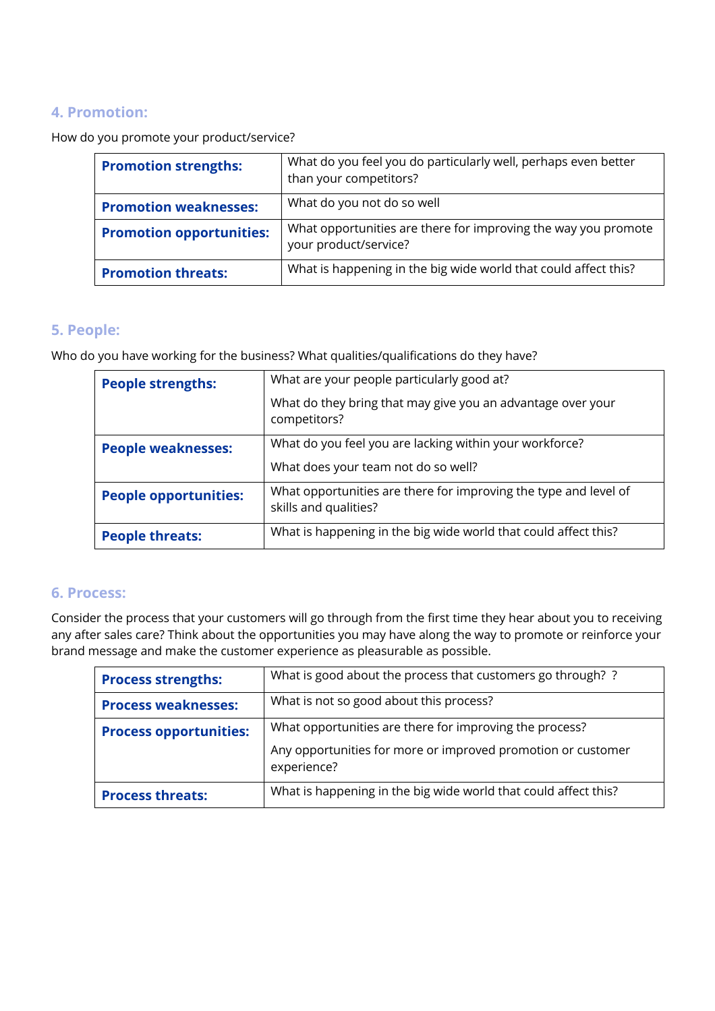## **4. Promotion:**

How do you promote your product/service?

| <b>Promotion strengths:</b>     | What do you feel you do particularly well, perhaps even better<br>than your competitors? |
|---------------------------------|------------------------------------------------------------------------------------------|
| <b>Promotion weaknesses:</b>    | What do you not do so well                                                               |
| <b>Promotion opportunities:</b> | What opportunities are there for improving the way you promote<br>your product/service?  |
| <b>Promotion threats:</b>       | What is happening in the big wide world that could affect this?                          |

## **5. People:**

Who do you have working for the business? What qualities/qualifications do they have?

| <b>People strengths:</b>     | What are your people particularly good at?                                                |
|------------------------------|-------------------------------------------------------------------------------------------|
|                              | What do they bring that may give you an advantage over your<br>competitors?               |
| <b>People weaknesses:</b>    | What do you feel you are lacking within your workforce?                                   |
|                              | What does your team not do so well?                                                       |
| <b>People opportunities:</b> | What opportunities are there for improving the type and level of<br>skills and qualities? |
| <b>People threats:</b>       | What is happening in the big wide world that could affect this?                           |

#### **6. Process:**

Consider the process that your customers will go through from the first time they hear about you to receiving any after sales care? Think about the opportunities you may have along the way to promote or reinforce your brand message and make the customer experience as pleasurable as possible.

| <b>Process strengths:</b>     | What is good about the process that customers go through? ?                 |
|-------------------------------|-----------------------------------------------------------------------------|
| <b>Process weaknesses:</b>    | What is not so good about this process?                                     |
| <b>Process opportunities:</b> | What opportunities are there for improving the process?                     |
|                               | Any opportunities for more or improved promotion or customer<br>experience? |
| <b>Process threats:</b>       | What is happening in the big wide world that could affect this?             |